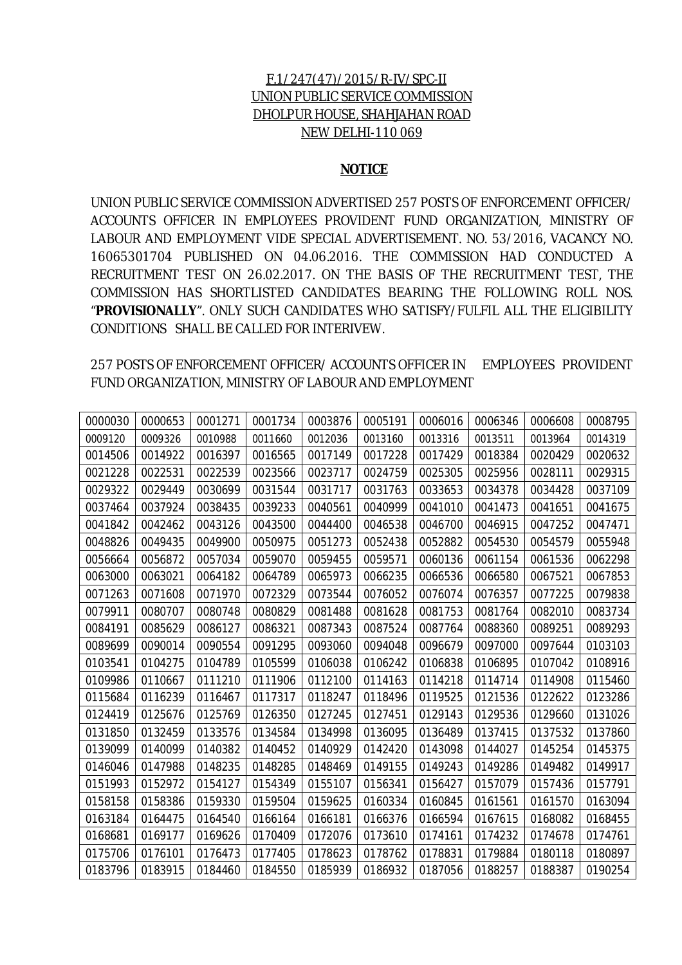## F.1/247(47)/2015/R-IV/SPC-II UNION PUBLIC SERVICE COMMISSION DHOLPUR HOUSE, SHAHJAHAN ROAD NEW DELHI-110 069

#### **NOTICE**

UNION PUBLIC SERVICE COMMISSION ADVERTISED 257 POSTS OF ENFORCEMENT OFFICER/ ACCOUNTS OFFICER IN EMPLOYEES PROVIDENT FUND ORGANIZATION, MINISTRY OF LABOUR AND EMPLOYMENT VIDE SPECIAL ADVERTISEMENT. NO. 53/2016, VACANCY NO. 16065301704 PUBLISHED ON 04.06.2016. THE COMMISSION HAD CONDUCTED A RECRUITMENT TEST ON 26.02.2017. ON THE BASIS OF THE RECRUITMENT TEST, THE COMMISSION HAS SHORTLISTED CANDIDATES BEARING THE FOLLOWING ROLL NOS. "**PROVISIONALLY**". ONLY SUCH CANDIDATES WHO SATISFY/FULFIL ALL THE ELIGIBILITY CONDITIONS SHALL BE CALLED FOR INTERIVEW.

257 POSTS OF ENFORCEMENT OFFICER/ ACCOUNTS OFFICER IN EMPLOYEES PROVIDENT FUND ORGANIZATION, MINISTRY OF LABOUR AND EMPLOYMENT

| 0000030 | 0000653 | 0001271 | 0001734 | 0003876 | 0005191 | 0006016 | 0006346 | 0006608 | 0008795 |
|---------|---------|---------|---------|---------|---------|---------|---------|---------|---------|
| 0009120 | 0009326 | 0010988 | 0011660 | 0012036 | 0013160 | 0013316 | 0013511 | 0013964 | 0014319 |
| 0014506 | 0014922 | 0016397 | 0016565 | 0017149 | 0017228 | 0017429 | 0018384 | 0020429 | 0020632 |
| 0021228 | 0022531 | 0022539 | 0023566 | 0023717 | 0024759 | 0025305 | 0025956 | 0028111 | 0029315 |
| 0029322 | 0029449 | 0030699 | 0031544 | 0031717 | 0031763 | 0033653 | 0034378 | 0034428 | 0037109 |
| 0037464 | 0037924 | 0038435 | 0039233 | 0040561 | 0040999 | 0041010 | 0041473 | 0041651 | 0041675 |
| 0041842 | 0042462 | 0043126 | 0043500 | 0044400 | 0046538 | 0046700 | 0046915 | 0047252 | 0047471 |
| 0048826 | 0049435 | 0049900 | 0050975 | 0051273 | 0052438 | 0052882 | 0054530 | 0054579 | 0055948 |
| 0056664 | 0056872 | 0057034 | 0059070 | 0059455 | 0059571 | 0060136 | 0061154 | 0061536 | 0062298 |
| 0063000 | 0063021 | 0064182 | 0064789 | 0065973 | 0066235 | 0066536 | 0066580 | 0067521 | 0067853 |
| 0071263 | 0071608 | 0071970 | 0072329 | 0073544 | 0076052 | 0076074 | 0076357 | 0077225 | 0079838 |
| 0079911 | 0080707 | 0080748 | 0080829 | 0081488 | 0081628 | 0081753 | 0081764 | 0082010 | 0083734 |
| 0084191 | 0085629 | 0086127 | 0086321 | 0087343 | 0087524 | 0087764 | 0088360 | 0089251 | 0089293 |
| 0089699 | 0090014 | 0090554 | 0091295 | 0093060 | 0094048 | 0096679 | 0097000 | 0097644 | 0103103 |
| 0103541 | 0104275 | 0104789 | 0105599 | 0106038 | 0106242 | 0106838 | 0106895 | 0107042 | 0108916 |
| 0109986 | 0110667 | 0111210 | 0111906 | 0112100 | 0114163 | 0114218 | 0114714 | 0114908 | 0115460 |
| 0115684 | 0116239 | 0116467 | 0117317 | 0118247 | 0118496 | 0119525 | 0121536 | 0122622 | 0123286 |
| 0124419 | 0125676 | 0125769 | 0126350 | 0127245 | 0127451 | 0129143 | 0129536 | 0129660 | 0131026 |
| 0131850 | 0132459 | 0133576 | 0134584 | 0134998 | 0136095 | 0136489 | 0137415 | 0137532 | 0137860 |
| 0139099 | 0140099 | 0140382 | 0140452 | 0140929 | 0142420 | 0143098 | 0144027 | 0145254 | 0145375 |
| 0146046 | 0147988 | 0148235 | 0148285 | 0148469 | 0149155 | 0149243 | 0149286 | 0149482 | 0149917 |
| 0151993 | 0152972 | 0154127 | 0154349 | 0155107 | 0156341 | 0156427 | 0157079 | 0157436 | 0157791 |
| 0158158 | 0158386 | 0159330 | 0159504 | 0159625 | 0160334 | 0160845 | 0161561 | 0161570 | 0163094 |
| 0163184 | 0164475 | 0164540 | 0166164 | 0166181 | 0166376 | 0166594 | 0167615 | 0168082 | 0168455 |
| 0168681 | 0169177 | 0169626 | 0170409 | 0172076 | 0173610 | 0174161 | 0174232 | 0174678 | 0174761 |
| 0175706 | 0176101 | 0176473 | 0177405 | 0178623 | 0178762 | 0178831 | 0179884 | 0180118 | 0180897 |
| 0183796 | 0183915 | 0184460 | 0184550 | 0185939 | 0186932 | 0187056 | 0188257 | 0188387 | 0190254 |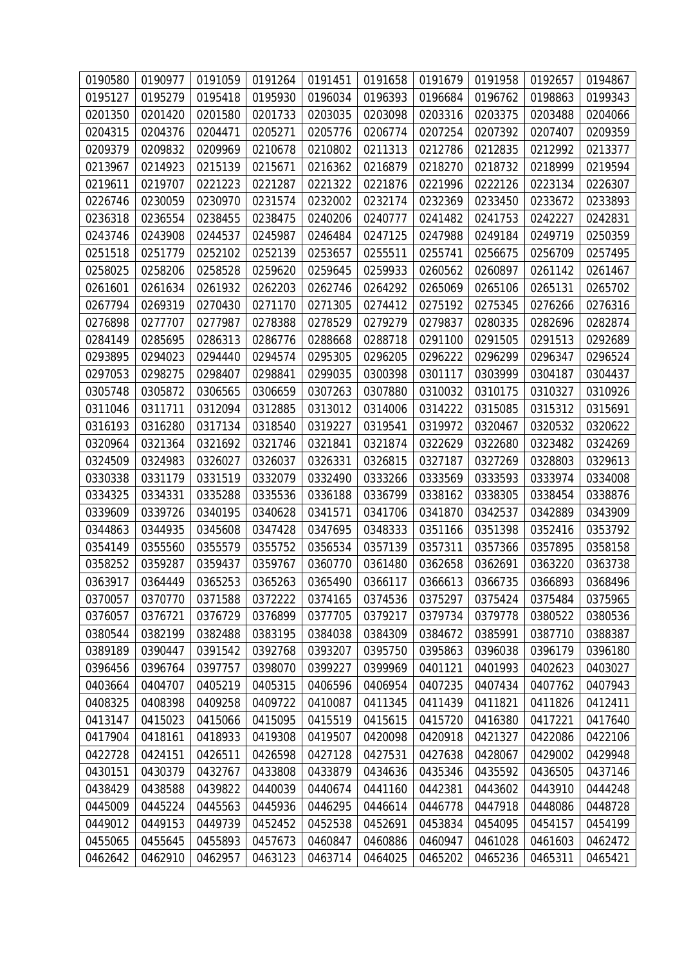| 0190580 | 0190977 | 0191059 | 0191264 | 0191451 | 0191658 | 0191679 | 0191958           | 0192657 | 0194867 |
|---------|---------|---------|---------|---------|---------|---------|-------------------|---------|---------|
| 0195127 | 0195279 | 0195418 | 0195930 | 0196034 | 0196393 | 0196684 | 0196762           | 0198863 | 0199343 |
| 0201350 | 0201420 | 0201580 | 0201733 | 0203035 | 0203098 | 0203316 | 0203375           | 0203488 | 0204066 |
| 0204315 | 0204376 | 0204471 | 0205271 | 0205776 | 0206774 | 0207254 | 0207392           | 0207407 | 0209359 |
| 0209379 | 0209832 | 0209969 | 0210678 | 0210802 | 0211313 | 0212786 | 0212835           | 0212992 | 0213377 |
| 0213967 | 0214923 | 0215139 | 0215671 | 0216362 | 0216879 | 0218270 | 0218732           | 0218999 | 0219594 |
| 0219611 | 0219707 | 0221223 | 0221287 | 0221322 | 0221876 | 0221996 | 0222126           | 0223134 | 0226307 |
| 0226746 | 0230059 | 0230970 | 0231574 | 0232002 | 0232174 | 0232369 | 0233450           | 0233672 | 0233893 |
| 0236318 | 0236554 | 0238455 | 0238475 | 0240206 | 0240777 | 0241482 | 0241753           | 0242227 | 0242831 |
| 0243746 | 0243908 | 0244537 | 0245987 | 0246484 | 0247125 | 0247988 | 0249184           | 0249719 | 0250359 |
| 0251518 | 0251779 | 0252102 | 0252139 | 0253657 | 0255511 | 0255741 | 0256675           | 0256709 | 0257495 |
| 0258025 | 0258206 | 0258528 | 0259620 | 0259645 | 0259933 | 0260562 | 0260897           | 0261142 | 0261467 |
| 0261601 | 0261634 | 0261932 | 0262203 | 0262746 | 0264292 | 0265069 | 0265106           | 0265131 | 0265702 |
| 0267794 | 0269319 | 0270430 | 0271170 | 0271305 | 0274412 | 0275192 | 0275345           | 0276266 | 0276316 |
| 0276898 | 0277707 | 0277987 | 0278388 | 0278529 | 0279279 | 0279837 | 0280335           | 0282696 | 0282874 |
| 0284149 | 0285695 | 0286313 | 0286776 | 0288668 | 0288718 | 0291100 | 0291505           | 0291513 | 0292689 |
| 0293895 | 0294023 | 0294440 | 0294574 | 0295305 | 0296205 | 0296222 | 0296299           | 0296347 | 0296524 |
| 0297053 | 0298275 | 0298407 | 0298841 | 0299035 | 0300398 | 0301117 | 0303999           | 0304187 | 0304437 |
| 0305748 | 0305872 | 0306565 | 0306659 | 0307263 | 0307880 | 0310032 | 0310175           | 0310327 | 0310926 |
| 0311046 | 0311711 | 0312094 | 0312885 | 0313012 | 0314006 | 0314222 | 0315085           | 0315312 | 0315691 |
| 0316193 | 0316280 | 0317134 | 0318540 | 0319227 | 0319541 | 0319972 | 0320467           | 0320532 | 0320622 |
| 0320964 | 0321364 | 0321692 | 0321746 | 0321841 | 0321874 | 0322629 | 0322680           | 0323482 | 0324269 |
| 0324509 | 0324983 | 0326027 | 0326037 | 0326331 | 0326815 | 0327187 | 0327269           | 0328803 | 0329613 |
| 0330338 | 0331179 | 0331519 | 0332079 | 0332490 | 0333266 | 0333569 | 0333593           | 0333974 | 0334008 |
| 0334325 | 0334331 | 0335288 | 0335536 | 0336188 | 0336799 | 0338162 | 0338305           | 0338454 | 0338876 |
| 0339609 | 0339726 | 0340195 | 0340628 | 0341571 | 0341706 | 0341870 | 0342537           | 0342889 | 0343909 |
| 0344863 | 0344935 | 0345608 | 0347428 | 0347695 | 0348333 | 0351166 | 0351398           | 0352416 | 0353792 |
| 0354149 | 0355560 | 0355579 | 0355752 | 0356534 | 0357139 | 0357311 | 0357366           | 0357895 | 0358158 |
| 0358252 | 0359287 | 0359437 | 0359767 | 0360770 | 0361480 | 0362658 | 0362691           | 0363220 | 0363738 |
| 0363917 | 0364449 | 0365253 | 0365263 | 0365490 | 0366117 |         | 0366613   0366735 | 0366893 | 0368496 |
| 0370057 | 0370770 | 0371588 | 0372222 | 0374165 | 0374536 | 0375297 | 0375424           | 0375484 | 0375965 |
| 0376057 | 0376721 | 0376729 | 0376899 | 0377705 | 0379217 | 0379734 | 0379778           | 0380522 | 0380536 |
| 0380544 | 0382199 | 0382488 | 0383195 | 0384038 | 0384309 | 0384672 | 0385991           | 0387710 | 0388387 |
| 0389189 | 0390447 | 0391542 | 0392768 | 0393207 | 0395750 | 0395863 | 0396038           | 0396179 | 0396180 |
| 0396456 | 0396764 | 0397757 | 0398070 | 0399227 | 0399969 | 0401121 | 0401993           | 0402623 | 0403027 |
| 0403664 | 0404707 | 0405219 | 0405315 | 0406596 | 0406954 | 0407235 | 0407434           | 0407762 | 0407943 |
| 0408325 | 0408398 | 0409258 | 0409722 | 0410087 | 0411345 | 0411439 | 0411821           | 0411826 | 0412411 |
| 0413147 | 0415023 | 0415066 | 0415095 | 0415519 | 0415615 | 0415720 | 0416380           | 0417221 | 0417640 |
| 0417904 | 0418161 | 0418933 | 0419308 | 0419507 | 0420098 | 0420918 | 0421327           | 0422086 | 0422106 |
| 0422728 | 0424151 | 0426511 | 0426598 | 0427128 | 0427531 | 0427638 | 0428067           | 0429002 | 0429948 |
| 0430151 | 0430379 | 0432767 | 0433808 | 0433879 | 0434636 | 0435346 | 0435592           | 0436505 | 0437146 |
| 0438429 | 0438588 | 0439822 | 0440039 | 0440674 | 0441160 | 0442381 | 0443602           | 0443910 | 0444248 |
| 0445009 | 0445224 | 0445563 | 0445936 | 0446295 | 0446614 | 0446778 | 0447918           | 0448086 | 0448728 |
| 0449012 | 0449153 | 0449739 | 0452452 | 0452538 | 0452691 | 0453834 | 0454095           | 0454157 | 0454199 |
| 0455065 | 0455645 | 0455893 | 0457673 | 0460847 | 0460886 | 0460947 | 0461028           | 0461603 | 0462472 |
| 0462642 | 0462910 | 0462957 | 0463123 | 0463714 | 0464025 | 0465202 | 0465236           | 0465311 | 0465421 |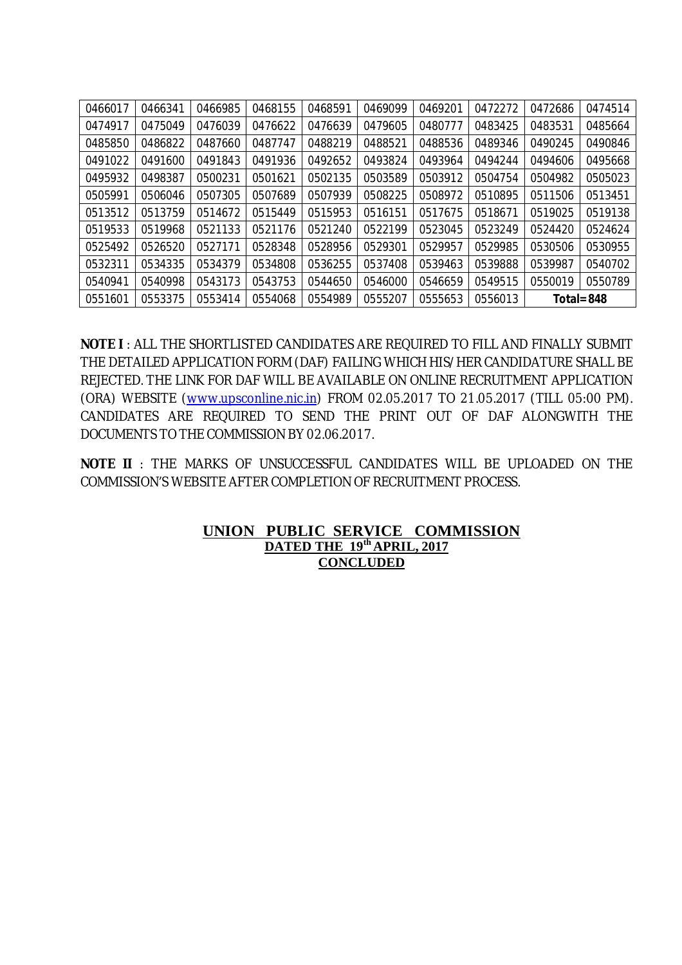| 0466017 | 0466341 | 0466985 | 0468155 | 0468591 | 0469099 | 0469201 | 0472272 | 0472686    | 0474514 |
|---------|---------|---------|---------|---------|---------|---------|---------|------------|---------|
| 0474917 | 0475049 | 0476039 | 0476622 | 0476639 | 0479605 | 0480777 | 0483425 | 0483531    | 0485664 |
| 0485850 | 0486822 | 0487660 | 0487747 | 0488219 | 0488521 | 0488536 | 0489346 | 0490245    | 0490846 |
| 0491022 | 0491600 | 0491843 | 0491936 | 0492652 | 0493824 | 0493964 | 0494244 | 0494606    | 0495668 |
| 0495932 | 0498387 | 0500231 | 0501621 | 0502135 | 0503589 | 0503912 | 0504754 | 0504982    | 0505023 |
| 0505991 | 0506046 | 0507305 | 0507689 | 0507939 | 0508225 | 0508972 | 0510895 | 0511506    | 0513451 |
| 0513512 | 0513759 | 0514672 | 0515449 | 0515953 | 0516151 | 0517675 | 0518671 | 0519025    | 0519138 |
| 0519533 | 0519968 | 0521133 | 0521176 | 0521240 | 0522199 | 0523045 | 0523249 | 0524420    | 0524624 |
| 0525492 | 0526520 | 0527171 | 0528348 | 0528956 | 0529301 | 0529957 | 0529985 | 0530506    | 0530955 |
| 0532311 | 0534335 | 0534379 | 0534808 | 0536255 | 0537408 | 0539463 | 0539888 | 0539987    | 0540702 |
| 0540941 | 0540998 | 0543173 | 0543753 | 0544650 | 0546000 | 0546659 | 0549515 | 0550019    | 0550789 |
| 0551601 | 0553375 | 0553414 | 0554068 | 0554989 | 0555207 | 0555653 | 0556013 | Total= 848 |         |

**NOTE I** : ALL THE SHORTLISTED CANDIDATES ARE REQUIRED TO FILL AND FINALLY SUBMIT THE DETAILED APPLICATION FORM (DAF) FAILING WHICH HIS/HER CANDIDATURE SHALL BE REJECTED. THE LINK FOR DAF WILL BE AVAILABLE ON ONLINE RECRUITMENT APPLICATION (ORA) WEBSITE (www.upsconline.nic.in) FROM 02.05.2017 TO 21.05.2017 (TILL 05:00 PM). CANDIDATES ARE REQUIRED TO SEND THE PRINT OUT OF DAF ALONGWITH THE DOCUMENTS TO THE COMMISSION BY 02.06.2017.

**NOTE II** : THE MARKS OF UNSUCCESSFUL CANDIDATES WILL BE UPLOADED ON THE COMMISSION'S WEBSITE AFTER COMPLETION OF RECRUITMENT PROCESS.

### **UNION PUBLIC SERVICE COMMISSION DATED THE 19 th APRIL, 2017 CONCLUDED**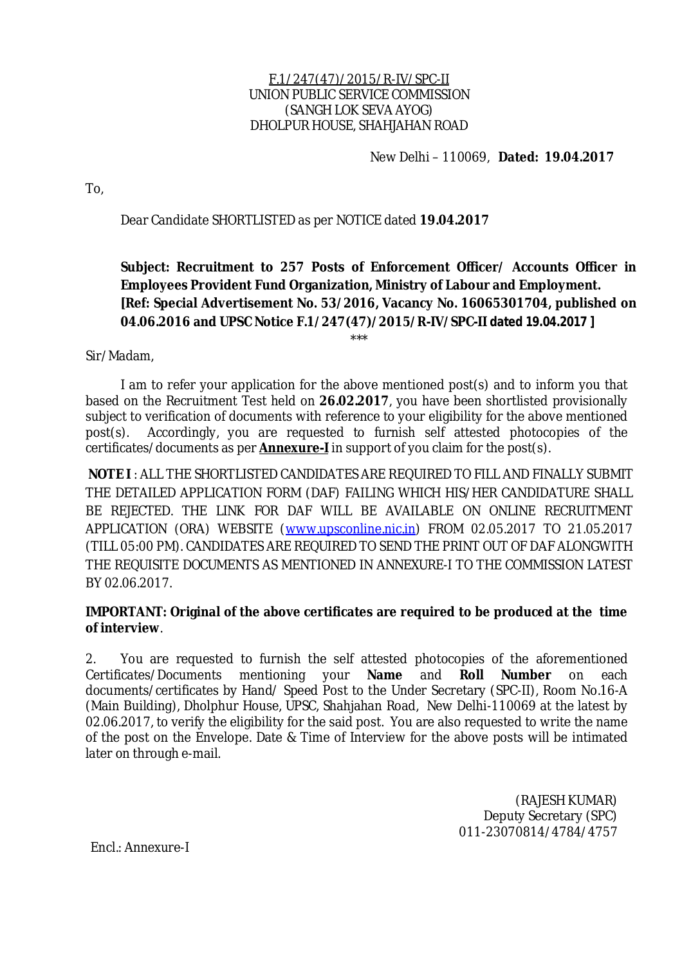### F.1/247(47)/2015/R-IV/SPC-II UNION PUBLIC SERVICE COMMISSION (SANGH LOK SEVA AYOG) DHOLPUR HOUSE, SHAHJAHAN ROAD

#### New Delhi – 110069, **Dated: 19.04.2017**

To,

Dear Candidate SHORTLISTED as per NOTICE dated **19.04.2017**

# **Subject: Recruitment to 257 Posts of Enforcement Officer/ Accounts Officer in Employees Provident Fund Organization, Ministry of Labour and Employment. [Ref: Special Advertisement No. 53/2016, Vacancy No. 16065301704, published on 04.06.2016 and UPSC Notice F.1/247(47)/2015/R-IV/SPC-II dated 19.04.2017 ]**

Sir/Madam,

I am to refer your application for the above mentioned post(s) and to inform you that based on the Recruitment Test held on **26.02.2017**, you have been shortlisted provisionally subject to verification of documents with reference to your eligibility for the above mentioned post(s). Accordingly, you are requested to furnish self attested photocopies of the certificates/documents as per **Annexure-I** in support of you claim for the post(s).

\*\*\*

**NOTE I** : ALL THE SHORTLISTED CANDIDATES ARE REQUIRED TO FILL AND FINALLY SUBMIT THE DETAILED APPLICATION FORM (DAF) FAILING WHICH HIS/HER CANDIDATURE SHALL BE REJECTED. THE LINK FOR DAF WILL BE AVAILABLE ON ONLINE RECRUITMENT APPLICATION (ORA) WEBSITE (www.upsconline.nic.in) FROM 02.05.2017 TO 21.05.2017 (TILL 05:00 PM). CANDIDATES ARE REQUIRED TO SEND THE PRINT OUT OF DAF ALONGWITH THE REQUISITE DOCUMENTS AS MENTIONED IN ANNEXURE-I TO THE COMMISSION LATEST BY 02.06.2017.

## **IMPORTANT: Original of the above certificates are required to be produced at the time of interview**.

2. You are requested to furnish the self attested photocopies of the aforementioned Certificates/Documents mentioning your **Name** and **Roll Number** on each documents/certificates by Hand/ Speed Post to the Under Secretary (SPC-II), Room No.16-A (Main Building), Dholphur House, UPSC, Shahjahan Road, New Delhi-110069 at the latest by 02.06.2017, to verify the eligibility for the said post. You are also requested to write the name of the post on the Envelope. Date & Time of Interview for the above posts will be intimated later on through e-mail.

> (RAJESH KUMAR) Deputy Secretary (SPC) 011-23070814/4784/4757

Encl.: Annexure-I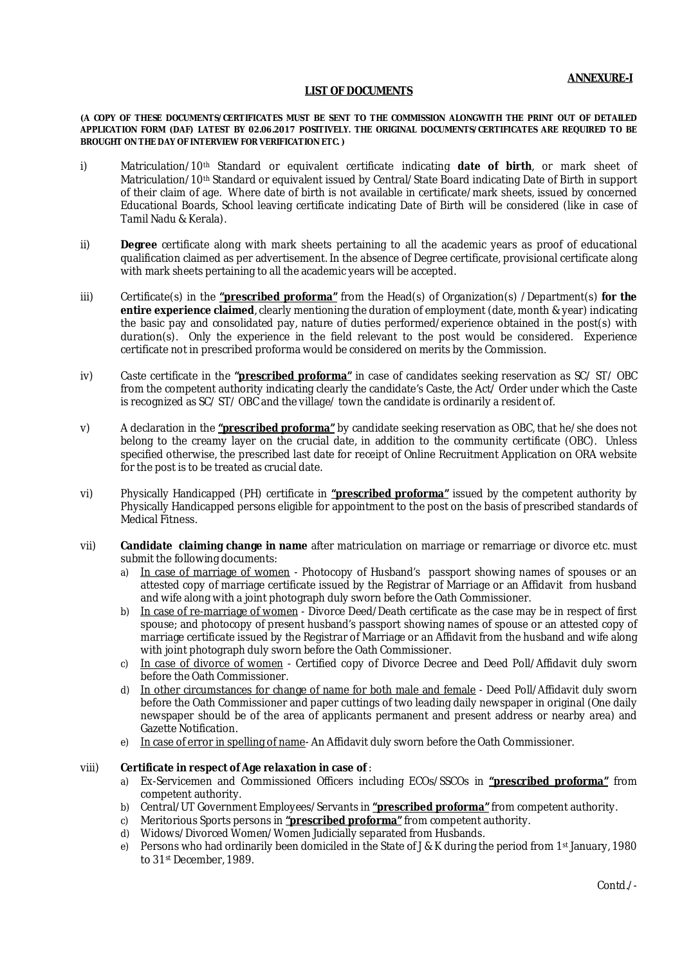#### **LIST OF DOCUMENTS**

**(A COPY OF THESE DOCUMENTS/CERTIFICATES MUST BE SENT TO THE COMMISSION ALONGWITH THE PRINT OUT OF DETAILED APPLICATION FORM (DAF) LATEST BY 02.06.2017 POSITIVELY. THE ORIGINAL DOCUMENTS/CERTIFICATES ARE REQUIRED TO BE BROUGHT ON THE DAY OF INTERVIEW FOR VERIFICATION ETC. )**

- i) Matriculation/10th Standard or equivalent certificate indicating **date of birth**, or mark sheet of Matriculation/10th Standard or equivalent issued by Central/State Board indicating Date of Birth in support of their claim of age. Where date of birth is not available in certificate/mark sheets, issued by concerned Educational Boards, School leaving certificate indicating Date of Birth will be considered (like in case of Tamil Nadu & Kerala).
- ii) **Degree** certificate along with mark sheets pertaining to all the academic years as proof of educational qualification claimed as per advertisement. In the absence of Degree certificate, provisional certificate along with mark sheets pertaining to all the academic years will be accepted.
- iii) Certificate(s) in the **"prescribed proforma"** from the Head(s) of Organization(s) /Department(s) for the **entire experience claimed**, clearly mentioning the duration of employment (date, month & year) indicating the basic pay and consolidated pay, nature of duties performed/experience obtained in the post(s) with duration(s). Only the experience in the field relevant to the post would be considered. Experience certificate not in prescribed proforma would be considered on merits by the Commission.
- iv) Caste certificate in the **"prescribed proforma"** in case of candidates seeking reservation as SC/ ST/ OBC from the competent authority indicating clearly the candidate's Caste, the Act/ Order under which the Caste is recognized as SC/ ST/ OBC and the village/ town the candidate is ordinarily a resident of.
- v) A declaration in the **"prescribed proforma"** by candidate seeking reservation as OBC, that he/she does not belong to the creamy layer on the crucial date, in addition to the community certificate (OBC). Unless specified otherwise, the prescribed last date for receipt of Online Recruitment Application on ORA website for the post is to be treated as crucial date.
- vi) Physically Handicapped (PH) certificate in **"prescribed proforma"** issued by the competent authority by Physically Handicapped persons eligible for appointment to the post on the basis of prescribed standards of Medical Fitness.
- vii) **Candidate claiming change in name** after matriculation on marriage or remarriage or divorce etc. must submit the following documents:
	- a) In case of marriage of women Photocopy of Husband's passport showing names of spouses or an attested copy of marriage certificate issued by the Registrar of Marriage or an Affidavit from husband and wife along with a joint photograph duly sworn before the Oath Commissioner.
	- b) In case of re-marriage of women Divorce Deed/Death certificate as the case may be in respect of first spouse; and photocopy of present husband's passport showing names of spouse or an attested copy of marriage certificate issued by the Registrar of Marriage or an Affidavit from the husband and wife along with joint photograph duly sworn before the Oath Commissioner.
	- c) In case of divorce of women Certified copy of Divorce Decree and Deed Poll/Affidavit duly sworn before the Oath Commissioner.
	- d) In other circumstances for change of name for both male and female Deed Poll/Affidavit duly sworn before the Oath Commissioner and paper cuttings of two leading daily newspaper in original (One daily newspaper should be of the area of applicants permanent and present address or nearby area) and Gazette Notification.
	- e) In case of error in spelling of name- An Affidavit duly sworn before the Oath Commissioner.

#### viii) **Certificate in respect of Age relaxation in case of** :

- a) Ex-Servicemen and Commissioned Officers including ECOs/SSCOs in **"prescribed proforma"** from competent authority.
- b) Central/UT Government Employees/Servants in **"prescribed proforma"**from competent authority.
- c) Meritorious Sports persons in **"prescribed proforma"** from competent authority.
- d) Widows/Divorced Women/Women Judicially separated from Husbands.
- e) Persons who had ordinarily been domiciled in the State of J & K during the period from 1st January, 1980 to 31<sup>st</sup> December, 1989.